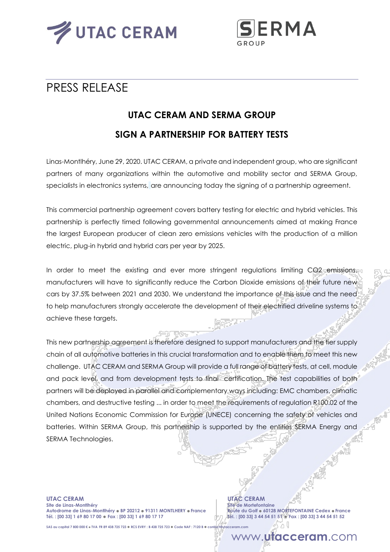



## PRESS RELEASE

# **UTAC CERAM AND SERMA GROUP SIGN A PARTNERSHIP FOR BATTERY TESTS**

Linas-Montlhéry, June 29, 2020. UTAC CERAM, a private and independent group, who are significant partners of many organizations within the automotive and mobility sector and SERMA Group, specialists in electronics systems, are announcing today the signing of a partnership agreement.

This commercial partnership agreement covers battery testing for electric and hybrid vehicles. This partnership is perfectly timed following governmental announcements aimed at making France the largest European producer of clean zero emissions vehicles with the production of a million electric, plug-in hybrid and hybrid cars per year by 2025.

In order to meet the existing and ever more stringent regulations limiting CO2 emissions, manufacturers will have to significantly reduce the Carbon Dioxide emissions of their future new cars by 37.5% between 2021 and 2030. We understand the importance of this issue and the need to help manufacturers strongly accelerate the development of their electrified driveline systems to achieve these targets.

This new partnership agreement is therefore designed to support manufacturers and the tier supply chain of all automotive batteries in this crucial transformation and to enable them to meet this new challenge. UTAC CERAM and SERMA Group will provide a full range of battery tests, at cell, module and pack level, and from development tests to final certification. The test capabilities of both partners will be deployed in parallel and complementary ways including: EMC chambers, climatic chambers, and destructive testing ... in order to meet the requirements of regulation R100.02 of the United Nations Economic Commission for Europe (UNECE) concerning the safety of vehicles and batteries. Within SERMA Group, this partnership is supported by the entities SERMA Energy and SERMA Technologies.

**UTAC CERAM UTAC CERAM Site de Linas-Montlhéry Site de Mortefontaine Autodrome de Linas-Montlhéry BP 20212 91311 MONTLHERY France Route du Golf 60128 MORTEFONTAINE Cedex France Tél. : [00 33] 1 69 80 17 00 Fax : [00 33] 1 69 80 17 17 Tél. : [00 33] 3 44 54 51 51 Fax : [00 33] 3 44 54 51 52**

**SAS au capital 7 800 000 € TVA FR 89 438 725 723 RCS EVRY : B 438 725 723 Code NAF : 7120 B contact@utacceram.com**

### www.**utacceram**.com